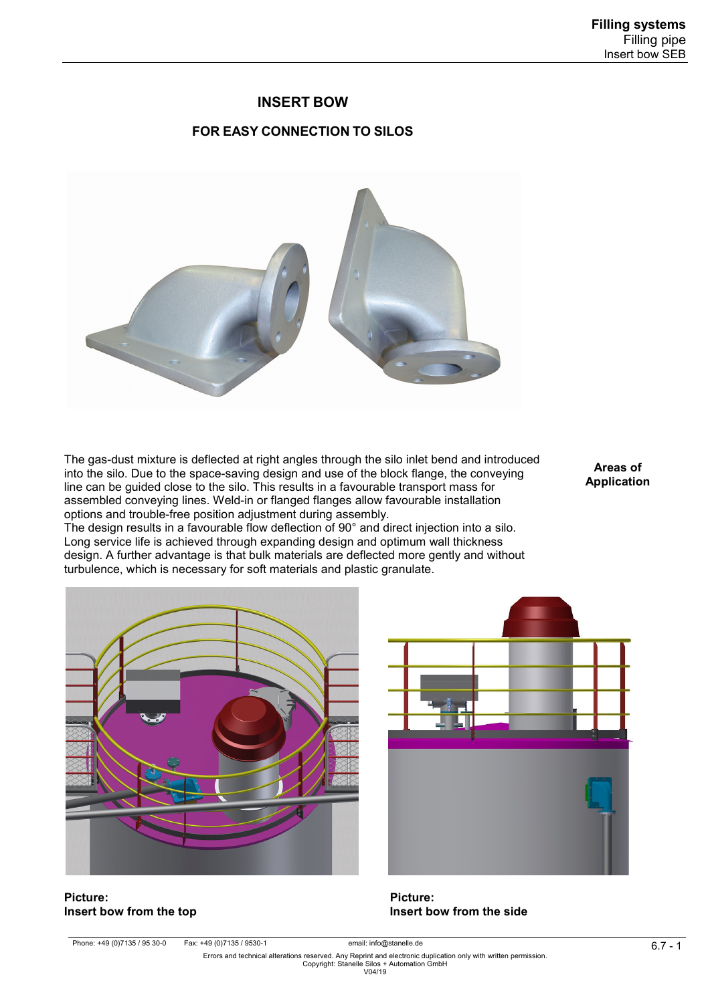## **INSERT BOW**

## **FOR EASY CONNECTION TO SILOS**



The gas-dust mixture is deflected at right angles through the silo inlet bend and introduced into the silo. Due to the space-saving design and use of the block flange, the conveying line can be guided close to the silo. This results in a favourable transport mass for assembled conveying lines. Weld-in or flanged flanges allow favourable installation options and trouble-free position adjustment during assembly.

The design results in a favourable flow deflection of 90° and direct injection into a silo. Long service life is achieved through expanding design and optimum wall thickness design. A further advantage is that bulk materials are deflected more gently and without turbulence, which is necessary for soft materials and plastic granulate.

**Areas of Application** 



**Insert bow from the top** 



**Picture: Picture:**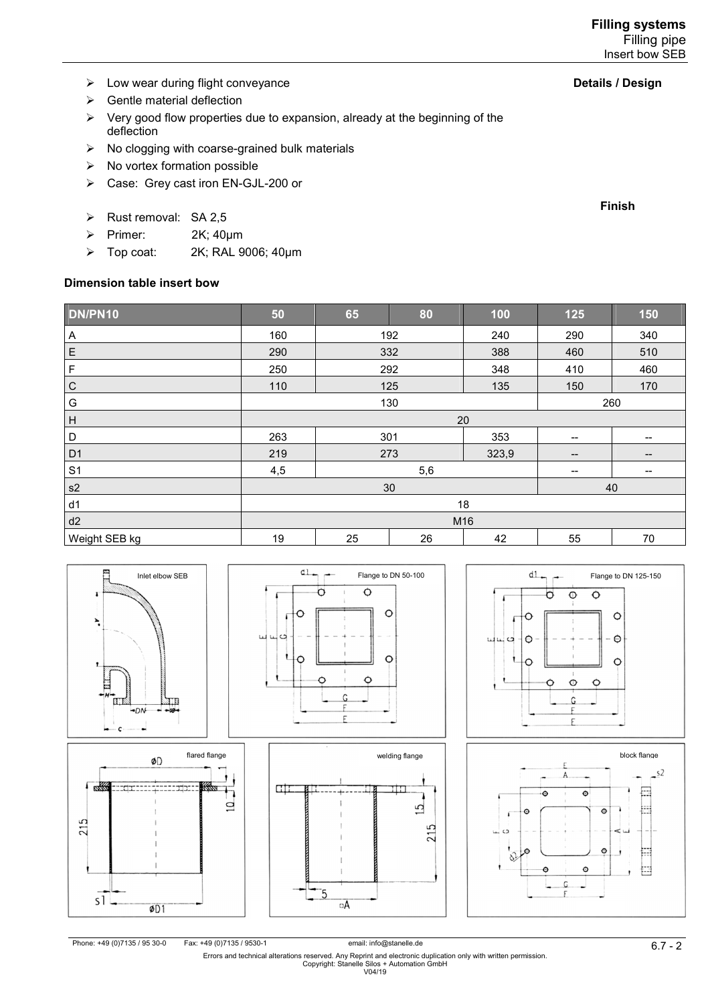- $\triangleright$  Low wear during flight conveyance
- $\triangleright$  Gentle material deflection
- $\triangleright$  Very good flow properties due to expansion, already at the beginning of the deflection
- $\triangleright$  No clogging with coarse-grained bulk materials
- $\triangleright$  No vortex formation possible
- Case: Grey cast iron EN-GJL-200 or
- $\triangleright$  Rust removal: SA 2.5
- Primer:  $2K$ ; 40 $\mu$ m
- > Top coat: 2K; RAL 9006; 40µm

## **Dimension table insert bow**

| DN/PN10                   | 50       | 65  | 80  | 100   | 125                                   | 150               |  |
|---------------------------|----------|-----|-----|-------|---------------------------------------|-------------------|--|
| $\mathsf{A}$              | 160      | 192 |     | 240   | 290                                   | 340               |  |
| $\mathsf E$               | 290      | 332 |     | 388   | 460                                   | 510               |  |
| $\mathsf F$               | 250      | 292 |     | 348   | 410                                   | 460               |  |
| $\mathsf C$               | 110      | 125 |     | 135   | 150                                   | 170               |  |
| G                         | 130      |     |     |       |                                       | 260               |  |
| $\boldsymbol{\mathsf{H}}$ | 20       |     |     |       |                                       |                   |  |
| $\mathsf D$               | 263      | 301 |     | 353   | $\hspace{0.05cm}$ – $\hspace{0.05cm}$ | --                |  |
| D <sub>1</sub>            | 219      |     | 273 | 323,9 | $\hspace{0.05cm}$ – $\hspace{0.05cm}$ | $- -$             |  |
| S <sub>1</sub>            | 4,5      | 5,6 |     |       | $\hspace{0.05cm}$                     | $\qquad \qquad -$ |  |
| s2                        | 40<br>30 |     |     |       |                                       |                   |  |
| d1                        | 18       |     |     |       |                                       |                   |  |
| d2                        | M16      |     |     |       |                                       |                   |  |
| Weight SEB kg             | 19       | 25  | 26  | 42    | 55                                    | 70                |  |













email: info@stanelle.de<br>6.7 – 6.7 Errors and technical alterations reserved. Any Reprint and electronic duplication only with written permission.<br>Copyright: Stanelle Silos + Automation GmbH<br>V04/19

**Details / Design**